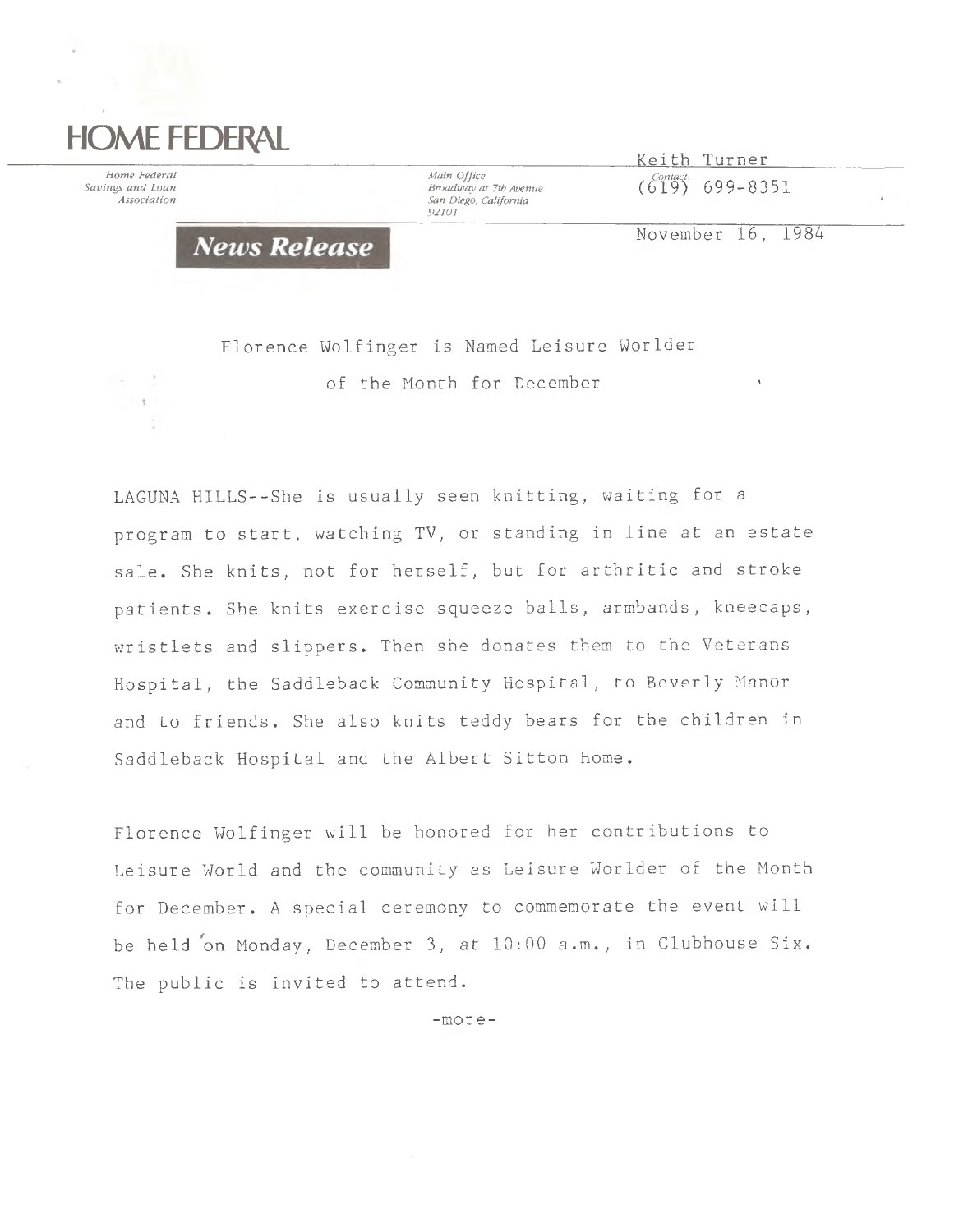## **HOME FEDERAL**

×

 $\sim$ 

*Home Federal Main Office Main Office Main Office Contact: Main Office Broadway at 7th Avenue Association San Diego, California 92101*

 $\frac{K \text{e} i \text{th}}{K \text{e} i \text{th}}$  Turner *Saan Office*<br>*Broadway at 7th Avenue* (619) 699–8351<br>Association

November 16, 1989

**News Release** 

*■ ■* of the Month for December '

Florence Wolfinger is Named Leisure Worlder

LAGUNA HILLS--She is usually seen knitting, waiting for a program to start, watching TV, or standing in line at an estate sale. She knits, not for herself, but for arthritic and stroke patients. She knits exercise squeeze balls, armbands, kneecaps, wristlets and slippers. Then she donates them to the Veterans Hospital, the Saddleback Community Hospital, to Beverly Manor and to friends. She also knits teddy bears for the children in Saddleback Hospital and the Albert Sitton Home.

Florence Wolfinger will be honored for her contributions to Leisure World and the community as Leisure Worlder of the Month for December. A special ceremony to commemorate the event will be held on Monday, December 3, at 10:00 a.m., in Clubhouse Six. The public is invited to attend.

-more-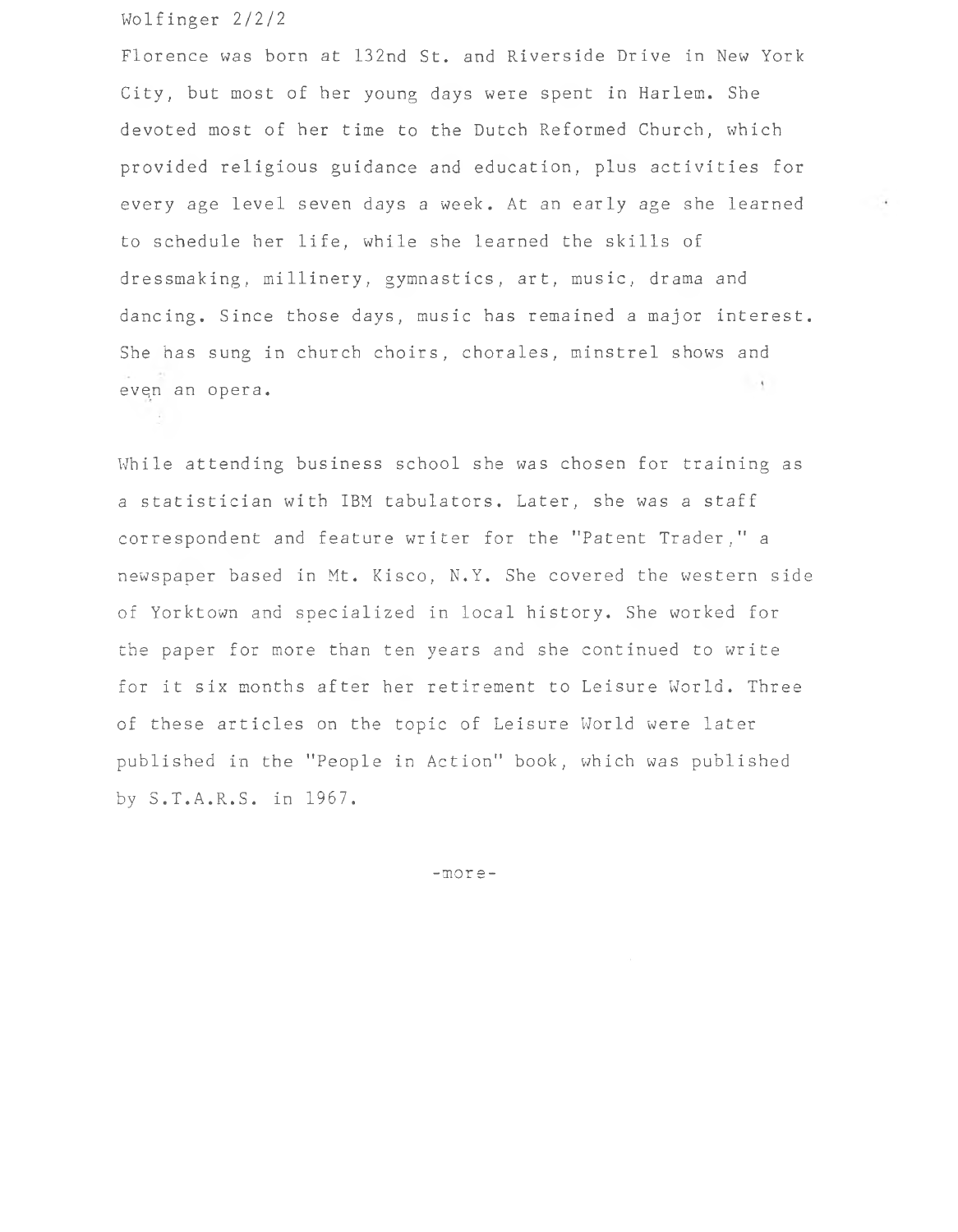## Wolfinger 2/2/2

Florence was born at 132nd St. and Riverside Drive in New York City, but most of her young days were spent in Harlem. She devoted most of her time to the Dutch Reformed Church, which provided religious guidance and education, plus activities for every age level seven days a week. At an early age she learned to schedule her life, while she learned the skills of dressmaking, millinery, gymnastics, art, music, drama and dancing. Since those days, music has remained a major interest. She has sung in church choirs, chorales, minstrel shows and evqn an opera.

While attending business school she was chosen for training as a statistician with IBM tabulators. Later, she was a staff correspondent and feature writer for the "Patent Trader," a newspaper based in Mt. Kisco, N.Y. She covered the western side of Yorktown and specialized in local history. She worked for the paper for more than ten years and she continued to write for it six months after her retirement to Leisure World. Three of these articles on the topic of Leisure World were later published in the "People in Action" book, which was published by S.T.A.R.S. in 1967.

-more-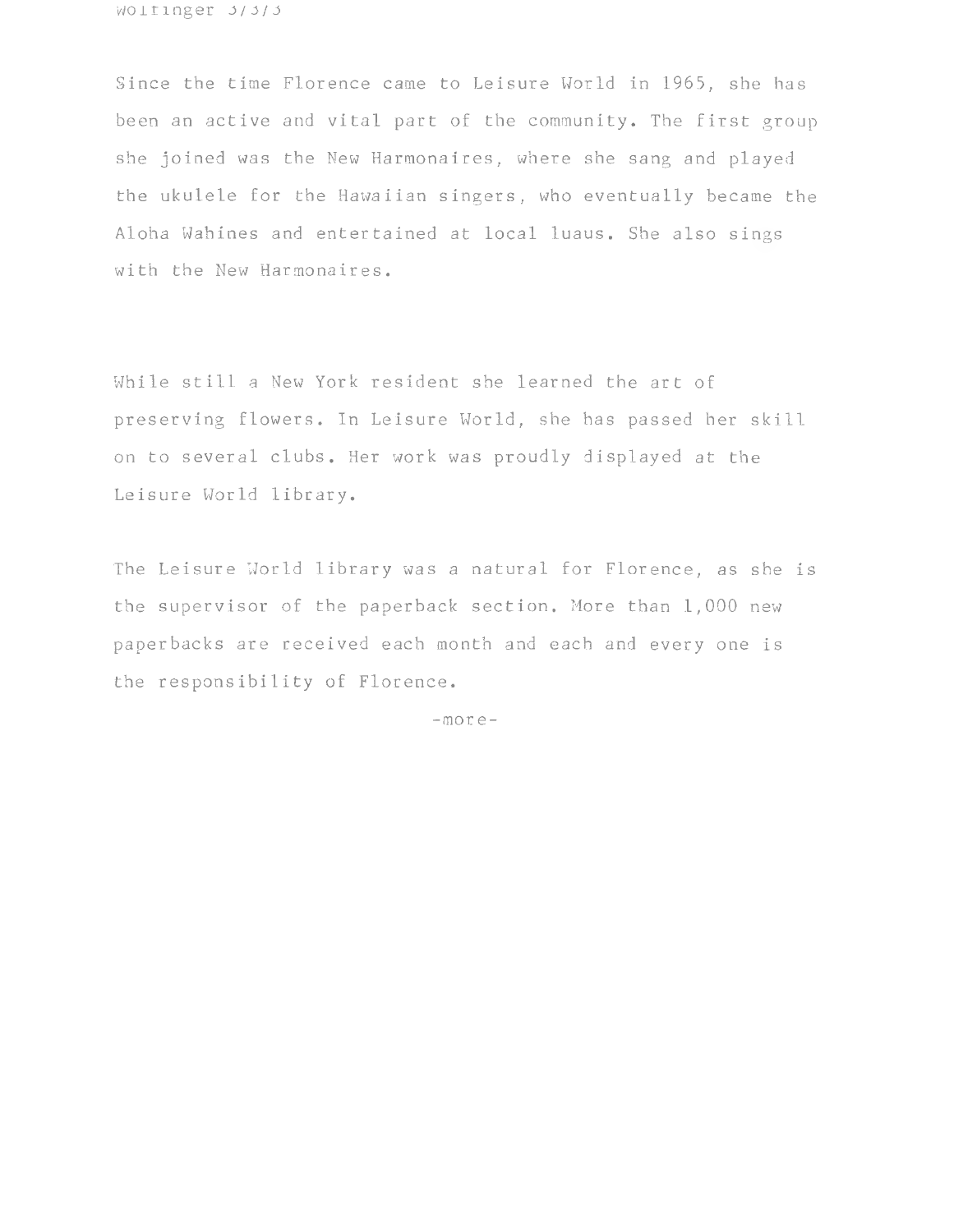Wolfinger 3/3/3

Since the time Florence came to Leisure World in 1965, she has been an active and vital part of the community. The first group she joined was the New Harmonaires, where she sang and played the ukulele for the Hawaiian singers, who eventually became the Aloha Wahines and entertained at local luaus. She also sings with the New Harmonaires.

While still a New York resident she learned the art of preserving flowers. In Leisure World, she has passed her skill on to several clubs. Her work was proudly displayed at the Leisure World library.

The Leisure World library was a natural for Florence, as she is the supervisor of the paperback section. More than 1,000 new paperbacks are received each month and each and every one is the responsibility of Florence.

-more-